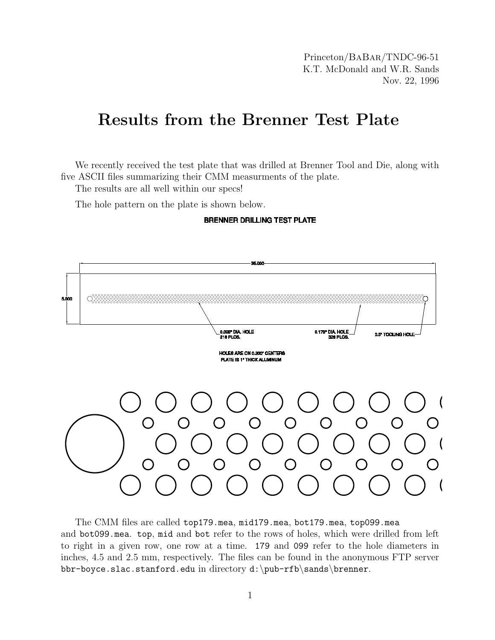Princeton/BaBar/TNDC-96-51 K.T. McDonald and W.R. Sands Nov. 22, 1996

## Results from the Brenner Test Plate

We recently received the test plate that was drilled at Brenner Tool and Die, along with five ASCII files summarizing their CMM measurments of the plate.

The results are all well within our specs!

The hole pattern on the plate is shown below.

**BRENNER DRILLING TEST PLATE** 



The CMM files are called top179.mea, mid179.mea, bot179.mea, top099.mea and bot099.mea. top, mid and bot refer to the rows of holes, which were drilled from left to right in a given row, one row at a time. 179 and 099 refer to the hole diameters in inches, 4.5 and 2.5 mm, respectively. The files can be found in the anonymous FTP server bbr-boyce.slac.stanford.edu in directory d:\pub-rfb\sands\brenner.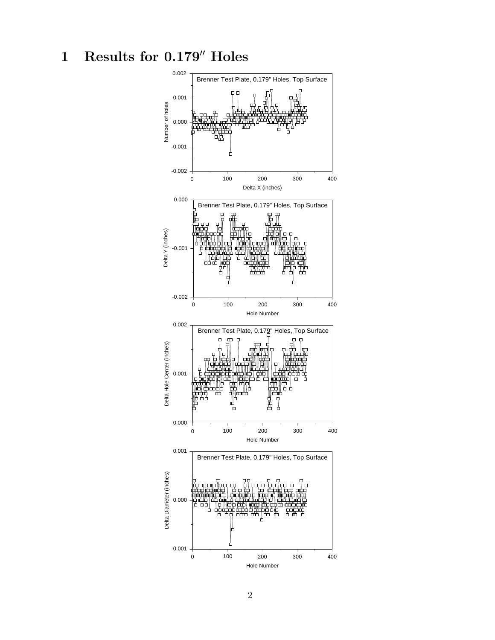## 1 Results for  $0.179''$  Holes

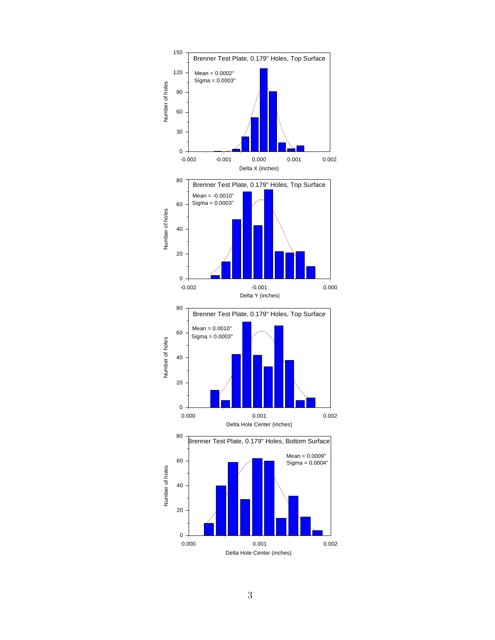

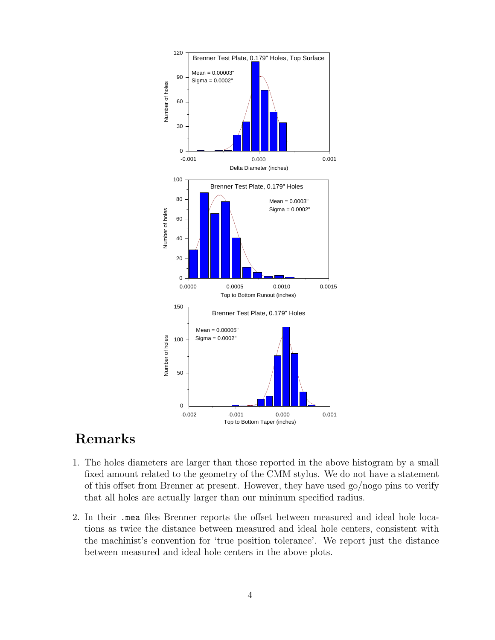

## Remarks

- 1. The holes diameters are larger than those reported in the above histogram by a small fixed amount related to the geometry of the CMM stylus. We do not have a statement of this offset from Brenner at present. However, they have used go/nogo pins to verify that all holes are actually larger than our mininum specified radius.
- 2. In their .mea files Brenner reports the offset between measured and ideal hole locations as twice the distance between measured and ideal hole centers, consistent with the machinist's convention for 'true position tolerance'. We report just the distance between measured and ideal hole centers in the above plots.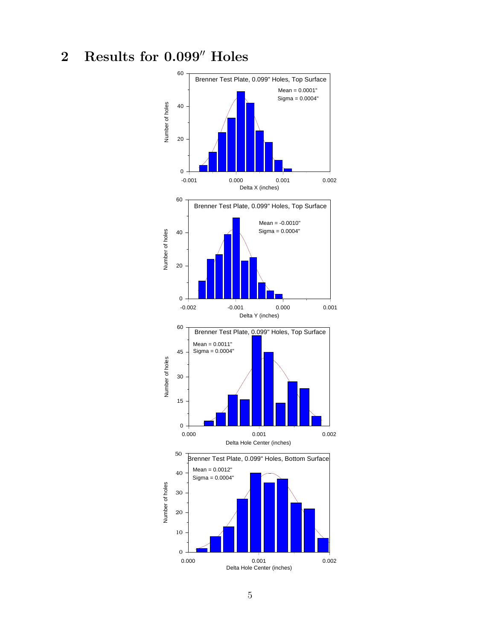## 2 Results for  $0.099''$  Holes